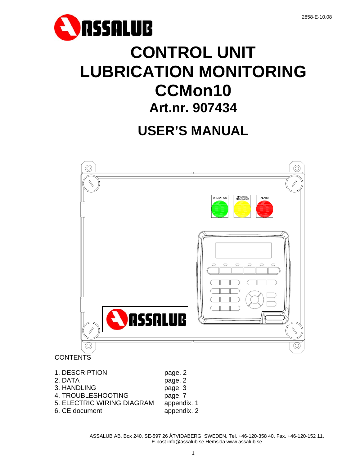

# **CONTROL UNIT LUBRICATION MONITORING CCMon10 Art.nr. 907434**

# **USER'S MANUAL**



# **CONTENTS**

- 1. DESCRIPTION page. 2 2. DATA page. 2 3. HANDLING page. 3 4. TROUBLESHOOTING page. 7 5. ELECTRIC WIRING DIAGRAM appendix. 1
- 6. CE document appendix. 2
- 

ASSALUB AB, Box 240, SE-597 26 ÅTVIDABERG, SWEDEN, Tel. +46-120-358 40, Fax. +46-120-152 11, E-post info@assalub.se Hemsida www.assalub.se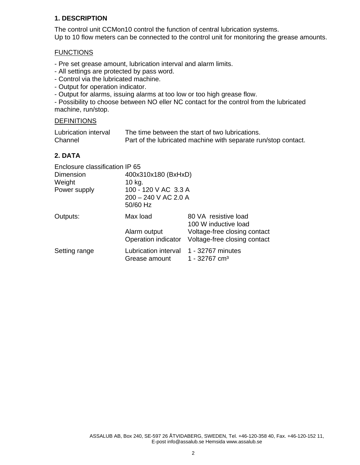# **1. DESCRIPTION**

The control unit CCMon10 control the function of central lubrication systems. Up to 10 flow meters can be connected to the control unit for monitoring the grease amounts.

### **FUNCTIONS**

- Pre set grease amount, lubrication interval and alarm limits.

- All settings are protected by pass word.
- Control via the lubricated machine.
- Output for operation indicator.
- Output for alarms, issuing alarms at too low or too high grease flow.

- Possibility to choose between NO eller NC contact for the control from the lubricated machine, run/stop.

### **DEFINITIONS**

| Lubrication interval | The time between the start of two lubrications.                |
|----------------------|----------------------------------------------------------------|
| Channel              | Part of the lubricated machine with separate run/stop contact. |

# **2. DATA**

| Enclosure classification IP 65 |                                       |                                                              |  |  |
|--------------------------------|---------------------------------------|--------------------------------------------------------------|--|--|
| Dimension                      | 400x310x180 (BxHxD)                   |                                                              |  |  |
| Weight                         | 10 kg.                                |                                                              |  |  |
| Power supply                   | 100 - 120 V AC 3.3 A                  |                                                              |  |  |
|                                | $200 - 240$ V AC 2.0 A                |                                                              |  |  |
|                                | 50/60 Hz                              |                                                              |  |  |
| Outputs:                       | Max load                              | 80 VA resistive load<br>100 W inductive load                 |  |  |
|                                | Alarm output<br>Operation indicator   | Voltage-free closing contact<br>Voltage-free closing contact |  |  |
| Setting range                  | Lubrication interval<br>Grease amount | 1 - 32767 minutes<br>1 - 32767 cm <sup>3</sup>               |  |  |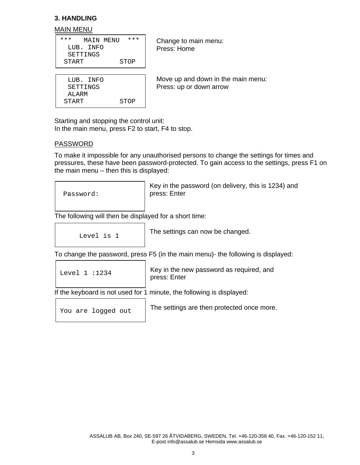# **3. HANDLING**

#### MAIN MENU

| ***   |           | MAIN MENU | * * * |
|-------|-----------|-----------|-------|
|       | LUB. INFO |           |       |
|       | SETTINGS  |           |       |
| START |           |           | STOP  |

START STOP

 LUB. INFO SETTINGS ALARM

 Change to main menu: Press: Home

 Move up and down in the main menu: Press: up or down arrow

Starting and stopping the control unit: In the main menu, press F2 to start, F4 to stop.

### PASSWORD

To make it impossible for any unauthorised persons to change the settings for times and pressures, these have been password-protected. To gain access to the settings, press F1 on the main menu – then this is displayed:



Key in the password (on delivery, this is 1234) and press: Enter

The following will then be displayed for a short time:

Level is 1

The settings can now be changed.

To change the password, press F5 (in the main menu)- the following is displayed:

|                                                                       | Level $1:1234$     | Key in the new password as required, and<br>press: Enter |  |
|-----------------------------------------------------------------------|--------------------|----------------------------------------------------------|--|
| If the keyboard is not used for 1 minute, the following is displayed: |                    |                                                          |  |
|                                                                       | You are logged out | The settings are then protected once more.               |  |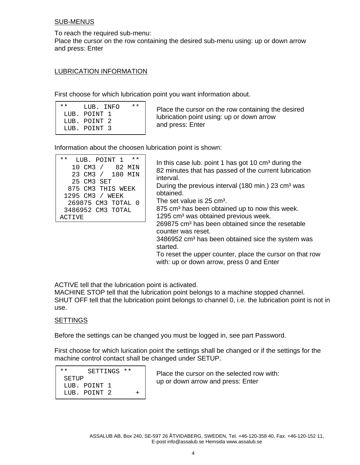# SUB-MENUS

To reach the required sub-menu: Place the cursor on the row containing the desired sub-menu using: up or down arrow and press: Enter

#### LUBRICATION INFORMATION

First choose for which lubrication point you want information about.

| $\star\star$ | LUB. INFO    | * * |
|--------------|--------------|-----|
|              | LUB. POINT 1 |     |
|              | LUB. POINT 2 |     |
|              | LUB. POINT 3 |     |

 Place the cursor on the row containing the desired lubrication point using: up or down arrow and press: Enter

Information about the choosen lubrication point is shown:

| $\star\star$<br>$***$<br>LUB. POINT<br>10 CM3 /<br>82 MIN<br>23 CM3 /<br>180 MIN<br>25 CM3 SET<br>875 CM3 THIS WEEK<br>1295 CM3 /<br>WEEK<br>269875 CM3 TOTAL 0<br>3486952 CM3 TOTAL<br>ACTIVE | In this case lub. point 1 has got 10 $\text{cm}^3$ during the<br>82 minutes that has passed of the current lubrication<br>interval.<br>During the previous interval (180 min.) 23 cm <sup>3</sup> was<br>obtained.<br>The set value is 25 cm <sup>3</sup> .<br>875 cm <sup>3</sup> has been obtained up to now this week.<br>1295 cm <sup>3</sup> was obtained previous week.<br>269875 cm <sup>3</sup> has been obtained since the resetable<br>counter was reset.<br>3486952 cm <sup>3</sup> has been obtained sice the system was<br>started.<br>To reset the upper counter, place the cursor on that row |
|------------------------------------------------------------------------------------------------------------------------------------------------------------------------------------------------|--------------------------------------------------------------------------------------------------------------------------------------------------------------------------------------------------------------------------------------------------------------------------------------------------------------------------------------------------------------------------------------------------------------------------------------------------------------------------------------------------------------------------------------------------------------------------------------------------------------|
|                                                                                                                                                                                                | with: up or down arrow, press 0 and Enter                                                                                                                                                                                                                                                                                                                                                                                                                                                                                                                                                                    |

ACTIVE tell that the lubrication point is activated.

MACHINE STOP tell that the lubrication point belongs to a machine stopped channel. SHUT OFF tell that the lubrication point belongs to channel 0, i.e. the lubrication point is not in use.

#### SETTINGS

Before the settings can be changed you must be logged in, see part Password.

First choose for which lurication point the settings shall be changed or if the settings for the machine control contact shall be changed under SETUP.

| $\star\star$ | SETTINGS **  |  |        |  |
|--------------|--------------|--|--------|--|
| SETUP        |              |  |        |  |
|              | LUB. POINT 1 |  |        |  |
|              | LUB. POINT 2 |  | $\div$ |  |

 Place the cursor on the selected row with: up or down arrow and press: Enter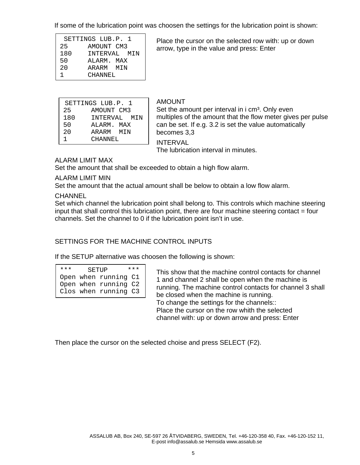If some of the lubrication point was choosen the settings for the lubrication point is shown:

|     | SETTINGS LUB.P. 1 |
|-----|-------------------|
| 25  | AMOUNT CM3        |
| 180 | INTERVAL MIN      |
| 50  | ALARM, MAX        |
| 20  | ARARM MTN         |
|     | CHANNEL           |

 Place the cursor on the selected row with: up or down arrow, type in the value and press: Enter

|     | SETTINGS LUB.P. 1 |
|-----|-------------------|
| 25  | AMOUNT CM3        |
| 180 | INTERVAL MIN      |
| 50  | ALARM. MAX        |
| 2.0 | ARARM MTN         |
|     | CHANNEL           |

#### AMOUNT

Set the amount per interval in i cm<sup>3</sup>. Only even multiples of the amount that the flow meter gives per pulse can be set. If e.g. 3.2 is set the value automatically becomes 3,3

INTERVAL

The lubrication interval in minutes.

# ALARM LIMIT MAX

Set the amount that shall be exceeded to obtain a high flow alarm.

### ALARM LIMIT MIN

Set the amount that the actual amount shall be below to obtain a low flow alarm.

**CHANNEL** 

Set which channel the lubrication point shall belong to. This controls which machine steering input that shall control this lubrication point, there are four machine steering contact = four channels. Set the channel to 0 if the lubrication point isn't in use.

# SETTINGS FOR THE MACHINE CONTROL INPUTS

If the SETUP alternative was choosen the following is shown:

| *** | SETUP |                      | *** |
|-----|-------|----------------------|-----|
|     |       | Open when running C1 |     |
|     |       | Open when running C2 |     |
|     |       | Clos when running C3 |     |

 This show that the machine control contacts for channel 1 and channel 2 shall be open when the machine is running. The machine control contacts for channel 3 shall be closed when the machine is running. To change the settings for the channels:: Place the cursor on the row whith the selected channel with: up or down arrow and press: Enter

Then place the cursor on the selected choise and press SELECT (F2).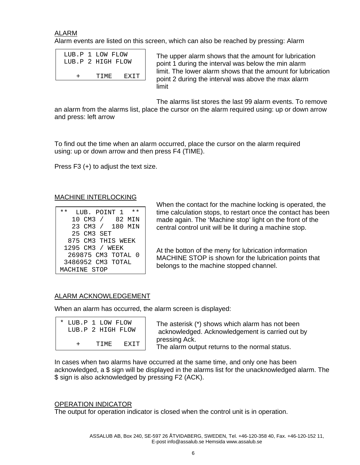ALARM

Alarm events are listed on this screen, which can also be reached by pressing: Alarm

| LUB.P 1 LOW FLOW  |       |             |
|-------------------|-------|-------------|
| LUB.P 2 HIGH FLOW |       |             |
|                   |       |             |
|                   | TTME. | <b>FXTT</b> |

 The upper alarm shows that the amount for lubrication point 1 during the interval was below the min alarm limit. The lower alarm shows that the amount for lubrication point 2 during the interval was above the max alarm limit and the control of the control of the control of the control of the control of the control of the control

The alarms list stores the last 99 alarm events. To remove

an alarm from the alarms list, place the cursor on the alarm required using: up or down arrow and press: left arrow

To find out the time when an alarm occurred, place the cursor on the alarm required using: up or down arrow and then press F4 (TIME).

Press F3 (+) to adjust the text size.

# MACHINE INTERLOCKING

| $\star\star$ | LUB. POINT 1       | * * |
|--------------|--------------------|-----|
|              | 10 CM3 / 82 MIN    |     |
|              | 23 CM3 / 180 MIN   |     |
|              | 25 CM3 SET         |     |
|              | 875 CM3 THIS WEEK  |     |
|              | 1295 CM3 / WEEK    |     |
|              | 269875 CM3 TOTAL 0 |     |
|              | 3486952 CM3 TOTAL  |     |
|              | MACHINE STOP       |     |

 When the contact for the machine locking is operated, the time calculation stops, to restart once the contact has been made again. The 'Machine stop' light on the front of the central control unit will be lit during a machine stop.

 At the botton of the meny for lubrication information MACHINE STOP is shown for the lubrication points that belongs to the machine stopped channel.

# ALARM ACKNOWLEDGEMENT

When an alarm has occurred, the alarm screen is displayed:

|   | * LUB.P 1 LOW FLOW<br>LUB.P 2 HIGH FLOW |      |
|---|-----------------------------------------|------|
| + | TTMF.                                   | EXTT |

 The asterisk (\*) shows which alarm has not been acknowledged. Acknowledgement is carried out by pressing Ack. The alarm output returns to the normal status.

In cases when two alarms have occurred at the same time, and only one has been acknowledged, a \$ sign will be displayed in the alarms list for the unacknowledged alarm. The \$ sign is also acknowledged by pressing F2 (ACK).

# OPERATION INDICATOR

The output for operation indicator is closed when the control unit is in operation.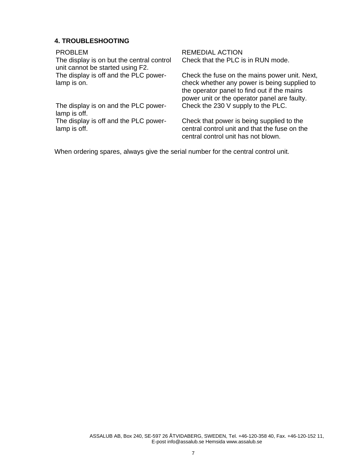# **4. TROUBLESHOOTING**

The display is on but the central control unit cannot be started using F2. The display is off and the PLC powerlamp is on.

The display is on and the PLC powerlamp is off.

The display is off and the PLC powerlamp is off.

PROBLEM REMEDIAL ACTION Check that the PLC is in RUN mode.

> Check the fuse on the mains power unit. Next, check whether any power is being supplied to the operator panel to find out if the mains power unit or the operator panel are faulty. Check the 230 V supply to the PLC.

Check that power is being supplied to the central control unit and that the fuse on the central control unit has not blown.

When ordering spares, always give the serial number for the central control unit.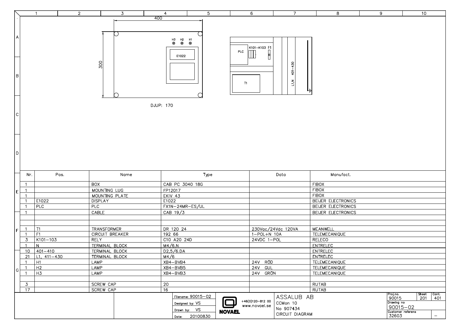|                 |                                  | $\overline{1}$   |      | $\overline{2}$ |                       | $\overline{3}$ |                  | $5\phantom{.0}$<br>4                                     |                    |               | 6<br>$\overline{7}$                       |                    | $\overline{8}$     | 9 | 10                         |                            |                                                                            |
|-----------------|----------------------------------|------------------|------|----------------|-----------------------|----------------|------------------|----------------------------------------------------------|--------------------|---------------|-------------------------------------------|--------------------|--------------------|---|----------------------------|----------------------------|----------------------------------------------------------------------------|
|                 |                                  |                  |      |                |                       |                | 400              |                                                          |                    |               |                                           |                    |                    |   |                            |                            |                                                                            |
|                 |                                  |                  |      |                |                       |                |                  |                                                          |                    |               |                                           |                    |                    |   |                            |                            |                                                                            |
|                 |                                  |                  |      |                |                       |                |                  |                                                          |                    |               |                                           |                    |                    |   |                            |                            |                                                                            |
| A               |                                  |                  |      |                |                       | - 7            |                  |                                                          |                    |               |                                           |                    |                    |   |                            |                            |                                                                            |
|                 |                                  |                  |      |                |                       |                |                  | $^{H3}$ $^{H2}$ $^{H1}$<br>$\otimes$ $\otimes$ $\otimes$ |                    |               |                                           |                    |                    |   |                            |                            |                                                                            |
|                 |                                  |                  |      |                |                       |                |                  |                                                          |                    |               | K101-K103 F1                              |                    |                    |   |                            |                            |                                                                            |
|                 |                                  |                  |      |                |                       |                |                  |                                                          |                    | PLC           |                                           |                    |                    |   |                            |                            |                                                                            |
|                 |                                  |                  |      |                |                       |                |                  | E1022                                                    |                    |               | $\overline{\mathbf{F}}$<br>$\blacksquare$ |                    |                    |   |                            |                            |                                                                            |
|                 |                                  |                  |      |                |                       |                |                  |                                                          |                    |               |                                           |                    |                    |   |                            |                            |                                                                            |
|                 |                                  |                  |      |                | 300                   |                |                  |                                                          |                    |               |                                           | $401 - 430$        |                    |   |                            |                            |                                                                            |
|                 |                                  |                  |      |                |                       |                |                  |                                                          |                    |               |                                           |                    |                    |   |                            |                            |                                                                            |
| $\, {\sf B} \,$ |                                  |                  |      |                |                       |                |                  |                                                          |                    |               |                                           |                    |                    |   |                            |                            |                                                                            |
|                 |                                  |                  |      |                |                       |                |                  |                                                          |                    |               | <b>T1</b>                                 | $\frac{z}{2}$      |                    |   |                            |                            |                                                                            |
|                 |                                  |                  |      |                |                       |                |                  |                                                          |                    |               |                                           |                    |                    |   |                            |                            |                                                                            |
|                 |                                  |                  |      |                |                       |                |                  |                                                          |                    |               |                                           |                    |                    |   |                            |                            |                                                                            |
|                 |                                  |                  |      |                |                       |                |                  |                                                          |                    |               |                                           |                    |                    |   |                            |                            |                                                                            |
|                 |                                  |                  |      |                |                       |                | <b>DJUP: 170</b> |                                                          |                    |               |                                           |                    |                    |   |                            |                            |                                                                            |
|                 |                                  |                  |      |                |                       |                |                  |                                                          |                    |               |                                           |                    |                    |   |                            |                            |                                                                            |
| $\mathsf{C}$    |                                  |                  |      |                |                       |                |                  |                                                          |                    |               |                                           |                    |                    |   |                            |                            |                                                                            |
|                 |                                  |                  |      |                |                       |                |                  |                                                          |                    |               |                                           |                    |                    |   |                            |                            |                                                                            |
|                 |                                  |                  |      |                |                       |                |                  |                                                          |                    |               |                                           |                    |                    |   |                            |                            |                                                                            |
|                 |                                  |                  |      |                |                       |                |                  |                                                          |                    |               |                                           |                    |                    |   |                            |                            |                                                                            |
|                 |                                  |                  |      |                |                       |                |                  |                                                          |                    |               |                                           |                    |                    |   |                            |                            |                                                                            |
|                 |                                  |                  |      |                |                       |                |                  |                                                          |                    |               |                                           |                    |                    |   |                            |                            |                                                                            |
|                 |                                  |                  |      |                |                       |                |                  |                                                          |                    |               |                                           |                    |                    |   |                            |                            |                                                                            |
| D               |                                  |                  |      |                |                       |                |                  |                                                          |                    |               |                                           |                    |                    |   |                            |                            |                                                                            |
|                 |                                  |                  |      |                |                       |                |                  |                                                          |                    |               |                                           |                    |                    |   |                            |                            |                                                                            |
|                 |                                  |                  |      |                |                       |                |                  |                                                          |                    |               |                                           |                    |                    |   |                            |                            |                                                                            |
|                 |                                  |                  |      |                |                       |                |                  |                                                          |                    |               |                                           |                    |                    |   |                            |                            |                                                                            |
|                 | Nr.                              |                  | Pos. |                |                       | Name           |                  |                                                          | Type               |               |                                           | Data               | Manufact.          |   |                            |                            |                                                                            |
|                 |                                  |                  |      |                | <b>BOX</b>            |                |                  |                                                          |                    |               |                                           |                    | <b>FIBOX</b>       |   |                            |                            |                                                                            |
|                 | $\overline{1}$                   |                  |      |                |                       |                |                  | CAB PC 3040 18G                                          |                    |               |                                           |                    |                    |   |                            |                            |                                                                            |
| E               | $\overline{1}$                   |                  |      |                | MOUNTING LUG          |                |                  | FP12017                                                  |                    |               |                                           |                    | <b>FIBOX</b>       |   |                            |                            |                                                                            |
|                 | $\overline{1}$<br>$\overline{1}$ |                  |      |                | MOUNTING PLATE        |                |                  | EKIV 43                                                  |                    |               |                                           |                    | <b>FIBOX</b>       |   |                            |                            |                                                                            |
|                 | $\overline{1}$                   | E1022            |      |                | <b>DISPLAY</b>        |                |                  | E1022                                                    |                    |               |                                           |                    | BEIJER ELECTRONICS |   |                            |                            |                                                                            |
|                 |                                  | PLC              |      |                | PLC                   |                |                  | FX1N-24MR-ES/UL                                          |                    |               |                                           |                    | BEIJER ELECTRONICS |   |                            |                            |                                                                            |
|                 | $\overline{1}$                   |                  |      |                | CABLE                 |                |                  | CAB 19/3                                                 |                    |               |                                           |                    | BEIJER ELECTRONICS |   |                            |                            |                                                                            |
|                 |                                  |                  |      |                |                       |                |                  |                                                          |                    |               |                                           |                    |                    |   |                            |                            |                                                                            |
|                 |                                  |                  |      |                |                       |                |                  |                                                          |                    |               |                                           |                    |                    |   |                            |                            |                                                                            |
| F               | $\overline{1}$                   | T1               |      |                | <b>TRANSFORMER</b>    |                |                  | DR 120 24                                                |                    |               |                                           | 230Vac/24Vdc 120VA | MEANWELL           |   |                            |                            |                                                                            |
|                 | $\overline{1}$                   | F1               |      |                | CIRCUIT BREAKER       |                |                  | 192 66                                                   |                    |               | $1 - POL + N$ 10A                         |                    | TELEMECANIQUE      |   |                            |                            |                                                                            |
|                 | $\overline{3}$                   | $K101 - 103$     |      |                | <b>RELY</b>           |                |                  | C10 A20 24D                                              |                    |               | 24VDC 1-POL                               |                    | RELECO             |   |                            |                            |                                                                            |
|                 | $\overline{1}$                   | N                |      |                | TERMINAL BLOCK        |                |                  | M4/6.N                                                   |                    |               |                                           |                    | ENTRELEC           |   |                            |                            |                                                                            |
|                 |                                  | $10   401 - 410$ |      |                | TERMINAL BLOCK        |                |                  | D2,5/6.DA                                                |                    |               |                                           |                    | ENTRELEC           |   |                            |                            |                                                                            |
|                 |                                  | $21$ L1, 411-430 |      |                | <b>TERMINAL BLOCK</b> |                |                  | M4/6                                                     |                    |               |                                           |                    | ENTRELEC           |   |                            |                            |                                                                            |
|                 | $\overline{1}$                   | H1               |      |                | <b>LAMP</b>           |                |                  | XB4-BVB4                                                 |                    |               | 24V RÖD                                   |                    | TELEMECANIQUE      |   |                            |                            |                                                                            |
| G               | $\mathbf{1}$                     | H2               |      |                | <b>LAMP</b>           |                |                  | XB4-BVB5                                                 |                    |               | 24V GUL                                   |                    | TELEMECANIQUE      |   |                            |                            |                                                                            |
|                 | -1                               | H <sub>3</sub>   |      |                | LAMP                  |                |                  | XB4-BVB3                                                 |                    |               | 24V GRÖN                                  |                    | TELEMECANIQUE      |   |                            |                            |                                                                            |
|                 |                                  |                  |      |                |                       |                |                  |                                                          |                    |               |                                           |                    |                    |   |                            |                            |                                                                            |
|                 | $\mathbf{3}$                     |                  |      |                | SCREW CAP             |                | $\overline{20}$  |                                                          |                    |               |                                           |                    | <b>RUTAB</b>       |   |                            |                            |                                                                            |
|                 | 17                               |                  |      |                | SCREW CAP             |                | 16               |                                                          |                    |               |                                           |                    | <b>RUTAB</b>       |   |                            |                            |                                                                            |
|                 |                                  |                  |      |                |                       |                |                  |                                                          | Filename: 90015-02 |               |                                           | ASSALUB AB         |                    |   | Proj.no.<br>90015          | $\frac{\text{Sheet}}{201}$ | $\begin{array}{ c } \hline \text{Cont.} \ \hline 401 \ \hline \end{array}$ |
|                 |                                  |                  |      |                |                       |                |                  |                                                          | Designed by: VS    |               | +46(0)120-812 00                          | CCMon 10           |                    |   | Drawing no                 |                            |                                                                            |
|                 |                                  |                  |      |                |                       |                |                  |                                                          |                    |               | www.novael.se                             | No 907434          |                    |   | 90015-02                   |                            |                                                                            |
|                 |                                  |                  |      |                |                       |                |                  |                                                          | Drawn by: VS       | <b>NOVAEL</b> |                                           |                    |                    |   | Customer referens<br>32603 |                            |                                                                            |
|                 |                                  |                  |      |                |                       |                |                  |                                                          | Date: 20100830     |               |                                           | CIRCUIT DIAGRAM    |                    |   | $\overline{\phantom{0}}$   |                            |                                                                            |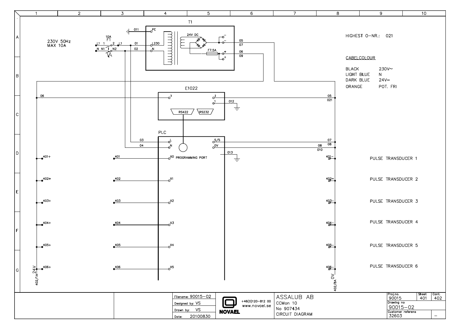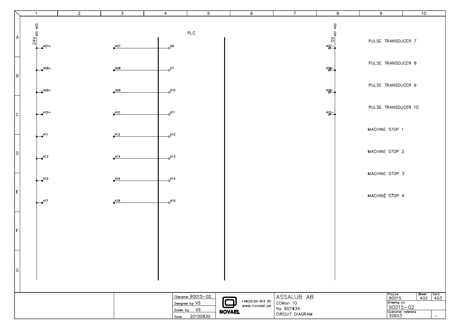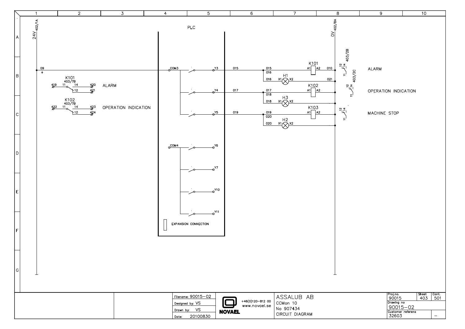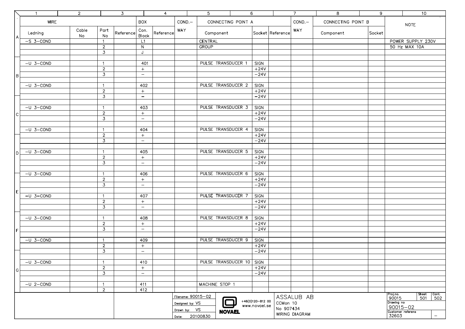|                               | $\overline{1}$                                         | $\overline{2}$     |                                  | $\overline{3}$ |                                               | $\overline{4}$ |     |          | $5\phantom{.0}$           | 6                  |             |                            | $7^{\circ}$       | 8                            | 9        |  | 10                |
|-------------------------------|--------------------------------------------------------|--------------------|----------------------------------|----------------|-----------------------------------------------|----------------|-----|----------|---------------------------|--------------------|-------------|----------------------------|-------------------|------------------------------|----------|--|-------------------|
|                               | <b>WIRE</b>                                            |                    |                                  |                | <b>BOX</b><br>$COND. -$<br>CONNECTING POINT A |                |     |          | $COND. -$                 | CONNECTING POINT B |             |                            |                   |                              |          |  |                   |
|                               |                                                        |                    |                                  |                |                                               |                |     |          |                           |                    |             |                            |                   |                              |          |  | <b>NOTE</b>       |
|                               | Ledning                                                | Cable              | Part                             | Reference      | Con.                                          | Reference      | WAY |          | Component                 |                    |             | Socket  Reference          | WAY               | Component                    | Socket   |  |                   |
| A                             |                                                        | No                 | No                               |                | Block                                         |                |     |          |                           |                    |             |                            |                   |                              |          |  |                   |
|                               | $-S$ 3-COND                                            |                    | $\overline{1}$                   |                | L1                                            |                |     |          | CENTRAL                   |                    |             |                            |                   |                              |          |  | POWER SUPPLY 230V |
|                               |                                                        |                    | $\overline{2}$                   |                | ${\sf N}$                                     |                |     |          | <b>GROUP</b>              |                    |             |                            |                   |                              |          |  | 50 Hz MAX 10A     |
|                               |                                                        |                    | 3                                |                | J                                             |                |     |          |                           |                    |             |                            |                   |                              |          |  |                   |
|                               |                                                        |                    |                                  |                |                                               |                |     |          |                           |                    |             |                            |                   |                              |          |  |                   |
|                               | $-U$ 3-COND                                            |                    | -1                               |                | 401                                           |                |     |          | <b>PULSE TRANSDUCER 1</b> |                    | <b>SIGN</b> |                            |                   |                              |          |  |                   |
|                               |                                                        |                    | $\sqrt{2}$                       |                | $+$                                           |                |     |          |                           |                    | $+24V$      |                            |                   |                              |          |  |                   |
| B                             |                                                        |                    | 3                                |                | $\overline{\phantom{m}}$                      |                |     |          |                           |                    | $-24V$      |                            |                   |                              |          |  |                   |
|                               | $-U$ 3-COND                                            |                    |                                  |                | 402                                           |                |     |          | <b>PULSE TRANSDUCER 2</b> |                    | <b>SIGN</b> |                            |                   |                              |          |  |                   |
|                               |                                                        |                    | $\overline{1}$<br>$\overline{2}$ |                | $+$                                           |                |     |          |                           |                    | $+24V$      |                            |                   |                              |          |  |                   |
|                               |                                                        |                    | 3                                |                | $\overline{\phantom{m}}$                      |                |     |          |                           |                    | $-24V$      |                            |                   |                              |          |  |                   |
|                               |                                                        |                    |                                  |                |                                               |                |     |          |                           |                    |             |                            |                   |                              |          |  |                   |
|                               | $-U$ 3-COND                                            |                    | $\overline{1}$                   |                | 403                                           |                |     |          | PULSE TRANSDUCER 3        |                    | SIGN        |                            |                   |                              |          |  |                   |
|                               |                                                        |                    | $\overline{2}$                   |                | $+$                                           |                |     |          |                           |                    | $+24V$      |                            |                   |                              |          |  |                   |
| $\mathsf{C}$                  |                                                        |                    | 3                                |                | $\overline{\phantom{m}}$                      |                |     |          |                           |                    | $-24V$      |                            |                   |                              |          |  |                   |
|                               |                                                        |                    |                                  |                |                                               |                |     |          |                           |                    |             |                            |                   |                              |          |  |                   |
|                               | $-U$ 3-COND                                            |                    | $\overline{1}$                   |                | 404                                           |                |     |          | PULSE TRANSDUCER 4        |                    | SIGN        |                            |                   |                              |          |  |                   |
|                               |                                                        |                    | $\overline{2}$                   |                | $+$                                           |                |     |          |                           |                    | $+24V$      |                            |                   |                              |          |  |                   |
|                               |                                                        |                    | $\overline{3}$                   |                | $\overline{\phantom{m}}$                      |                |     |          |                           |                    | $-24V$      |                            |                   |                              |          |  |                   |
|                               |                                                        |                    |                                  |                |                                               |                |     |          |                           |                    |             |                            |                   |                              |          |  |                   |
| l D                           | $-U$ 3-COND                                            |                    | $\overline{1}$                   |                | 405                                           |                |     |          | <b>PULSE TRANSDUCER 5</b> |                    | <b>SIGN</b> |                            |                   |                              |          |  |                   |
|                               |                                                        |                    | $\overline{2}$                   |                | $+$                                           |                |     |          |                           |                    | $+24V$      |                            |                   |                              |          |  |                   |
|                               |                                                        |                    | $\overline{3}$                   |                | $\overline{\phantom{m}}$                      |                |     |          |                           |                    | $-24V$      |                            |                   |                              |          |  |                   |
|                               |                                                        |                    |                                  |                |                                               |                |     |          |                           |                    |             |                            |                   |                              |          |  |                   |
|                               | $-U$ 3-COND                                            |                    | $\overline{1}$                   |                | 406                                           |                |     |          | PULSE TRANSDUCER 6        |                    | SIGN        |                            |                   |                              |          |  |                   |
|                               |                                                        |                    | $\overline{2}$                   |                | $+$                                           |                |     |          |                           |                    | $+24V$      |                            |                   |                              |          |  |                   |
|                               |                                                        |                    | 3                                |                | $\overline{\phantom{m}}$                      |                |     |          |                           |                    | $-24V$      |                            |                   |                              |          |  |                   |
| ΙE                            |                                                        |                    |                                  |                |                                               |                |     |          |                           |                    |             |                            |                   |                              |          |  |                   |
|                               | $-U$ 3-COND                                            |                    | $\overline{1}$                   |                | 407                                           |                |     |          | PULSE TRANSDUCER 7        |                    | <b>SIGN</b> |                            |                   |                              |          |  |                   |
|                               |                                                        |                    | $\sqrt{2}$                       |                | $+$                                           |                |     |          |                           |                    | $+24V$      |                            |                   |                              |          |  |                   |
|                               |                                                        |                    | 3                                |                | $\overline{\phantom{a}}$                      |                |     |          |                           |                    | $-24V$      |                            |                   |                              |          |  |                   |
|                               | $-U$ 3-COND                                            |                    |                                  |                | 408                                           |                |     |          | PULSE TRANSDUCER 8        |                    | SIGN        |                            |                   |                              |          |  |                   |
|                               |                                                        |                    | $\overline{1}$<br>$\overline{2}$ |                | $+$                                           |                |     |          |                           |                    | $+24V$      |                            |                   |                              |          |  |                   |
|                               |                                                        |                    | $\overline{3}$                   |                | $\qquad \qquad -$                             |                |     |          |                           |                    | $-24V$      |                            |                   |                              |          |  |                   |
| F                             |                                                        |                    |                                  |                |                                               |                |     |          |                           |                    |             |                            |                   |                              |          |  |                   |
|                               | $-U$ 3-COND                                            |                    | $\overline{1}$                   |                | 409                                           |                |     |          | PULSE TRANSDUCER 9        |                    | SIGN        |                            |                   |                              |          |  |                   |
|                               |                                                        |                    | $\overline{2}$                   |                | $+$                                           |                |     |          |                           |                    | $+24V$      |                            |                   |                              |          |  |                   |
|                               |                                                        |                    | 3                                |                | $\overline{\phantom{m}}$                      |                |     |          |                           |                    | $-24V$      |                            |                   |                              |          |  |                   |
|                               |                                                        |                    |                                  |                |                                               |                |     |          |                           |                    |             |                            |                   |                              |          |  |                   |
|                               | $-U$ 3-COND                                            |                    | $\overline{1}$                   |                | 410                                           |                |     |          | PULSE TRANSDUCER 10       |                    | SIGN        |                            |                   |                              |          |  |                   |
|                               |                                                        |                    | $\overline{2}$                   |                | $+$                                           |                |     |          |                           |                    | $+24V$      |                            |                   |                              |          |  |                   |
| G                             |                                                        |                    | 3                                |                | $\overline{\phantom{m}}$                      |                |     |          |                           |                    | $-24V$      |                            |                   |                              |          |  |                   |
|                               |                                                        |                    |                                  |                |                                               |                |     |          |                           |                    |             |                            |                   |                              |          |  |                   |
|                               | $-U$ 2-COND                                            |                    | $\overline{1}$                   |                | 411                                           |                |     |          | MACHINE STOP 1            |                    |             |                            |                   |                              |          |  |                   |
|                               |                                                        |                    | $\mathbf{2}$                     |                | 412                                           |                |     |          |                           |                    |             |                            |                   |                              |          |  |                   |
|                               |                                                        | Filename: 90015-02 |                                  |                |                                               |                |     |          |                           | ASSALUB AB         |             |                            | Proj.no.<br>90015 | Sheet<br>Cont.<br>501<br>502 |          |  |                   |
|                               | $+46(0)120-812$ 00<br>Designed by: VS<br>www.novael.se |                    |                                  |                |                                               |                |     | CCMon 10 |                           |                    |             | Drawing no                 |                   |                              |          |  |                   |
|                               |                                                        |                    |                                  |                |                                               |                |     |          |                           |                    | No 907434   |                            |                   |                              | 90015-02 |  |                   |
| Drawn by: VS<br><b>NOVAEL</b> |                                                        |                    |                                  |                |                                               |                |     |          | WIRING DIAGRAM            |                    |             | Customer referens<br>32603 | $\equiv$          |                              |          |  |                   |
| Date: 20100830                |                                                        |                    |                                  |                |                                               |                |     |          |                           |                    |             |                            |                   |                              |          |  |                   |